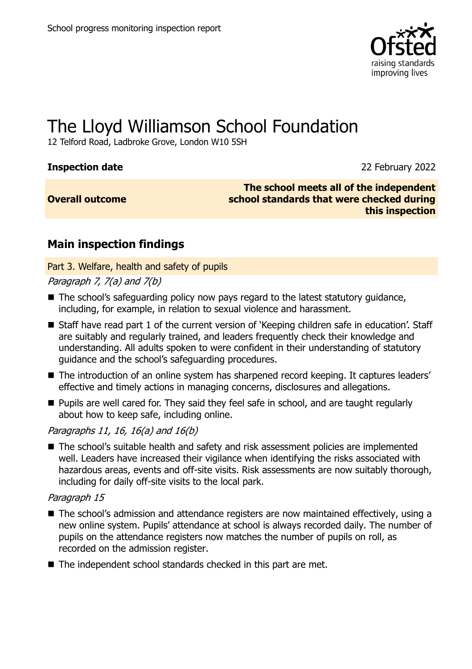

# The Lloyd Williamson School Foundation

12 Telford Road, Ladbroke Grove, London W10 5SH

## **Inspection date** 22 February 2022

## **Overall outcome**

**The school meets all of the independent school standards that were checked during this inspection**

# **Main inspection findings**

Part 3. Welfare, health and safety of pupils

Paragraph 7, 7(a) and 7(b)

- The school's safeguarding policy now pays regard to the latest statutory guidance, including, for example, in relation to sexual violence and harassment.
- Staff have read part 1 of the current version of `Keeping children safe in education'. Staff are suitably and regularly trained, and leaders frequently check their knowledge and understanding. All adults spoken to were confident in their understanding of statutory guidance and the school's safeguarding procedures.
- The introduction of an online system has sharpened record keeping. It captures leaders' effective and timely actions in managing concerns, disclosures and allegations.
- **Pupils are well cared for. They said they feel safe in school, and are taught regularly** about how to keep safe, including online.

## Paragraphs 11, 16, 16(a) and 16(b)

■ The school's suitable health and safety and risk assessment policies are implemented well. Leaders have increased their vigilance when identifying the risks associated with hazardous areas, events and off-site visits. Risk assessments are now suitably thorough, including for daily off-site visits to the local park.

## Paragraph 15

- The school's admission and attendance registers are now maintained effectively, using a new online system. Pupils' attendance at school is always recorded daily. The number of pupils on the attendance registers now matches the number of pupils on roll, as recorded on the admission register.
- The independent school standards checked in this part are met.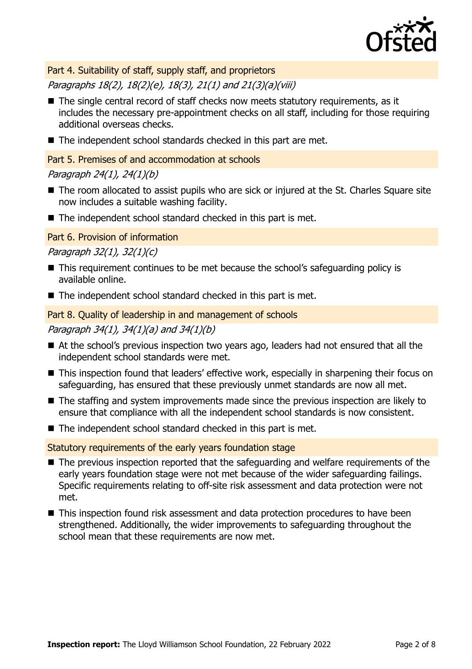

Part 4. Suitability of staff, supply staff, and proprietors

Paragraphs 18(2), 18(2)(e), 18(3), 21(1) and 21(3)(a)(viii)

- The single central record of staff checks now meets statutory requirements, as it includes the necessary pre-appointment checks on all staff, including for those requiring additional overseas checks.
- The independent school standards checked in this part are met.

#### Part 5. Premises of and accommodation at schools

#### Paragraph 24(1), 24(1)(b)

- The room allocated to assist pupils who are sick or injured at the St. Charles Square site now includes a suitable washing facility.
- The independent school standard checked in this part is met.

#### Part 6. Provision of information

Paragraph 32(1), 32(1)(c)

- This requirement continues to be met because the school's safeguarding policy is available online.
- The independent school standard checked in this part is met.

Part 8. Quality of leadership in and management of schools

Paragraph 34(1), 34(1)(a) and 34(1)(b)

- At the school's previous inspection two years ago, leaders had not ensured that all the independent school standards were met.
- This inspection found that leaders' effective work, especially in sharpening their focus on safeguarding, has ensured that these previously unmet standards are now all met.
- The staffing and system improvements made since the previous inspection are likely to ensure that compliance with all the independent school standards is now consistent.
- The independent school standard checked in this part is met.

#### Statutory requirements of the early years foundation stage

- The previous inspection reported that the safeguarding and welfare requirements of the early years foundation stage were not met because of the wider safeguarding failings. Specific requirements relating to off-site risk assessment and data protection were not met.
- This inspection found risk assessment and data protection procedures to have been strengthened. Additionally, the wider improvements to safeguarding throughout the school mean that these requirements are now met.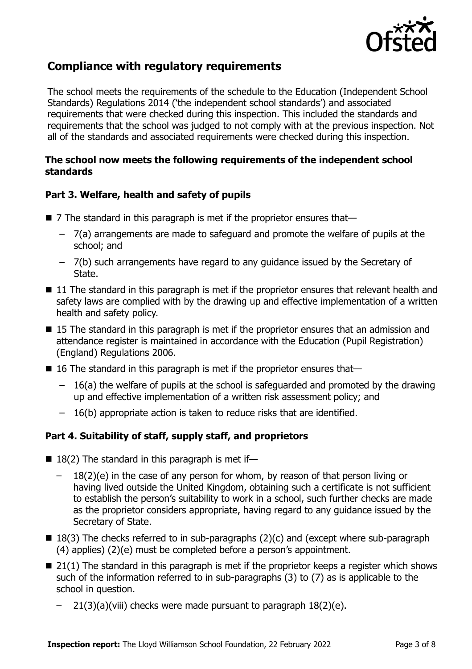

## **Compliance with regulatory requirements**

The school meets the requirements of the schedule to the Education (Independent School Standards) Regulations 2014 ('the independent school standards') and associated requirements that were checked during this inspection. This included the standards and requirements that the school was judged to not comply with at the previous inspection. Not all of the standards and associated requirements were checked during this inspection.

#### **The school now meets the following requirements of the independent school standards**

## **Part 3. Welfare, health and safety of pupils**

- 7 The standard in this paragraph is met if the proprietor ensures that—
	- $-$  7(a) arrangements are made to safeguard and promote the welfare of pupils at the school; and
	- ‒ 7(b) such arrangements have regard to any guidance issued by the Secretary of State.
- 11 The standard in this paragraph is met if the proprietor ensures that relevant health and safety laws are complied with by the drawing up and effective implementation of a written health and safety policy.
- 15 The standard in this paragraph is met if the proprietor ensures that an admission and attendance register is maintained in accordance with the Education (Pupil Registration) (England) Regulations 2006.
- $\blacksquare$  16 The standard in this paragraph is met if the proprietor ensures that-
	- $-16(a)$  the welfare of pupils at the school is safeguarded and promoted by the drawing up and effective implementation of a written risk assessment policy; and
	- $-16(b)$  appropriate action is taken to reduce risks that are identified.

## **Part 4. Suitability of staff, supply staff, and proprietors**

- $\blacksquare$  18(2) The standard in this paragraph is met if-
	- ‒ 18(2)(e) in the case of any person for whom, by reason of that person living or having lived outside the United Kingdom, obtaining such a certificate is not sufficient to establish the person's suitability to work in a school, such further checks are made as the proprietor considers appropriate, having regard to any guidance issued by the Secretary of State.
- $\blacksquare$  18(3) The checks referred to in sub-paragraphs (2)(c) and (except where sub-paragraph (4) applies) (2)(e) must be completed before a person's appointment.
- $\blacksquare$  21(1) The standard in this paragraph is met if the proprietor keeps a register which shows such of the information referred to in sub-paragraphs (3) to (7) as is applicable to the school in question.
	- $21(3)(a)(viii)$  checks were made pursuant to paragraph  $18(2)(e)$ .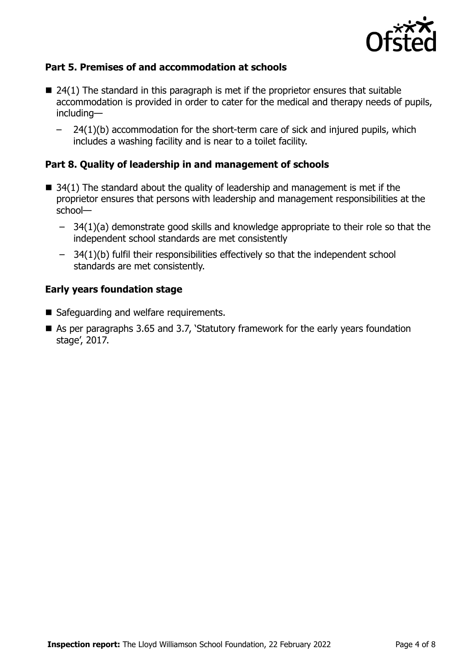

#### **Part 5. Premises of and accommodation at schools**

- $\blacksquare$  24(1) The standard in this paragraph is met if the proprietor ensures that suitable accommodation is provided in order to cater for the medical and therapy needs of pupils, including—
	- $24(1)(b)$  accommodation for the short-term care of sick and injured pupils, which includes a washing facility and is near to a toilet facility.

#### **Part 8. Quality of leadership in and management of schools**

- $\blacksquare$  34(1) The standard about the quality of leadership and management is met if the proprietor ensures that persons with leadership and management responsibilities at the school—
	- $-$  34(1)(a) demonstrate good skills and knowledge appropriate to their role so that the independent school standards are met consistently
	- ‒ 34(1)(b) fulfil their responsibilities effectively so that the independent school standards are met consistently.

#### **Early years foundation stage**

- Safeguarding and welfare requirements.
- As per paragraphs 3.65 and 3.7, 'Statutory framework for the early years foundation stage', 2017.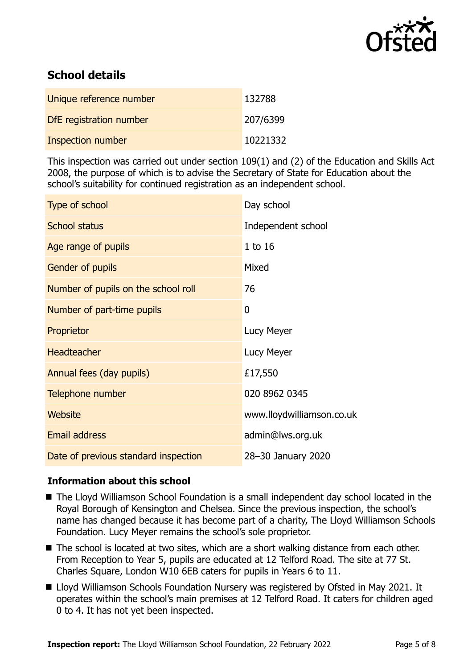

# **School details**

| Unique reference number  | 132788   |
|--------------------------|----------|
| DfE registration number  | 207/6399 |
| <b>Inspection number</b> | 10221332 |

This inspection was carried out under section 109(1) and (2) of the Education and Skills Act 2008, the purpose of which is to advise the Secretary of State for Education about the school's suitability for continued registration as an independent school.

| Type of school                       | Day school                |
|--------------------------------------|---------------------------|
| <b>School status</b>                 | Independent school        |
| Age range of pupils                  | 1 to 16                   |
| <b>Gender of pupils</b>              | Mixed                     |
| Number of pupils on the school roll  | 76                        |
| Number of part-time pupils           | 0                         |
| Proprietor                           | Lucy Meyer                |
| <b>Headteacher</b>                   | Lucy Meyer                |
| Annual fees (day pupils)             | £17,550                   |
| Telephone number                     | 020 8962 0345             |
| <b>Website</b>                       | www.lloydwilliamson.co.uk |
| <b>Email address</b>                 | admin@lws.org.uk          |
| Date of previous standard inspection | 28-30 January 2020        |

#### **Information about this school**

- The Lloyd Williamson School Foundation is a small independent day school located in the Royal Borough of Kensington and Chelsea. Since the previous inspection, the school's name has changed because it has become part of a charity, The Lloyd Williamson Schools Foundation. Lucy Meyer remains the school's sole proprietor.
- The school is located at two sites, which are a short walking distance from each other. From Reception to Year 5, pupils are educated at 12 Telford Road. The site at 77 St. Charles Square, London W10 6EB caters for pupils in Years 6 to 11.
- Lloyd Williamson Schools Foundation Nursery was registered by Ofsted in May 2021. It operates within the school's main premises at 12 Telford Road. It caters for children aged 0 to 4. It has not yet been inspected.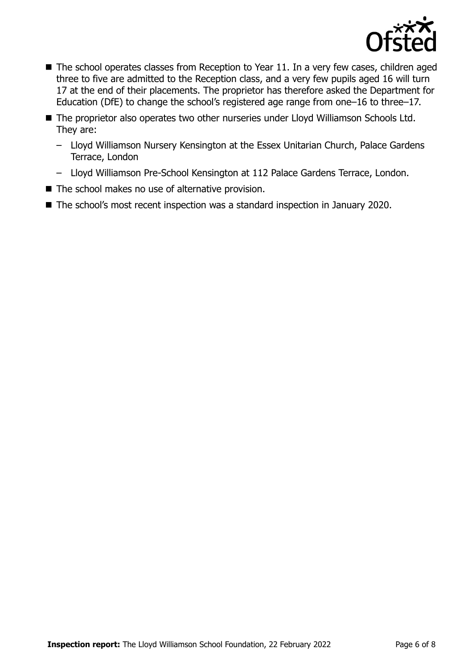

- The school operates classes from Reception to Year 11. In a very few cases, children aged three to five are admitted to the Reception class, and a very few pupils aged 16 will turn 17 at the end of their placements. The proprietor has therefore asked the Department for Education (DfE) to change the school's registered age range from one–16 to three–17.
- The proprietor also operates two other nurseries under Lloyd Williamson Schools Ltd. They are:
	- Lloyd Williamson Nursery Kensington at the Essex Unitarian Church, Palace Gardens Terrace, London
	- Lloyd Williamson Pre-School Kensington at 112 Palace Gardens Terrace, London.
- The school makes no use of alternative provision.
- The school's most recent inspection was a standard inspection in January 2020.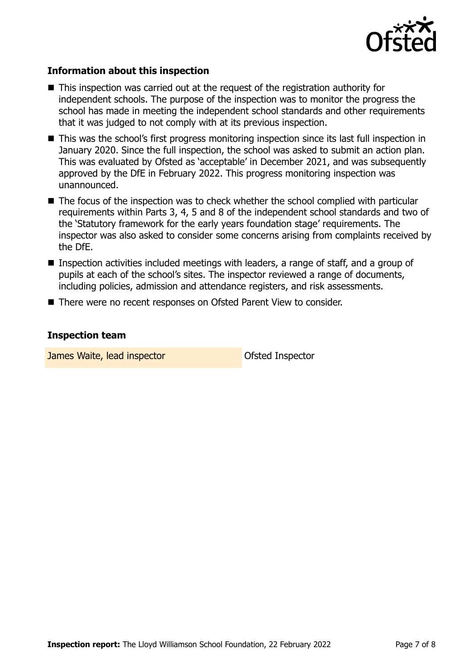

#### **Information about this inspection**

- This inspection was carried out at the request of the registration authority for independent schools. The purpose of the inspection was to monitor the progress the school has made in meeting the independent school standards and other requirements that it was judged to not comply with at its previous inspection.
- This was the school's first progress monitoring inspection since its last full inspection in January 2020. Since the full inspection, the school was asked to submit an action plan. This was evaluated by Ofsted as 'acceptable' in December 2021, and was subsequently approved by the DfE in February 2022. This progress monitoring inspection was unannounced.
- The focus of the inspection was to check whether the school complied with particular requirements within Parts 3, 4, 5 and 8 of the independent school standards and two of the 'Statutory framework for the early years foundation stage' requirements. The inspector was also asked to consider some concerns arising from complaints received by the DfE.
- Inspection activities included meetings with leaders, a range of staff, and a group of pupils at each of the school's sites. The inspector reviewed a range of documents, including policies, admission and attendance registers, and risk assessments.
- There were no recent responses on Ofsted Parent View to consider.

#### **Inspection team**

**James Waite, lead inspector Constanting Constanting Constanting Constanting Constanting Constanting Constanting Constanting Constanting Constanting Constanting Constanting Constanting Constanting Constanting Constanting**